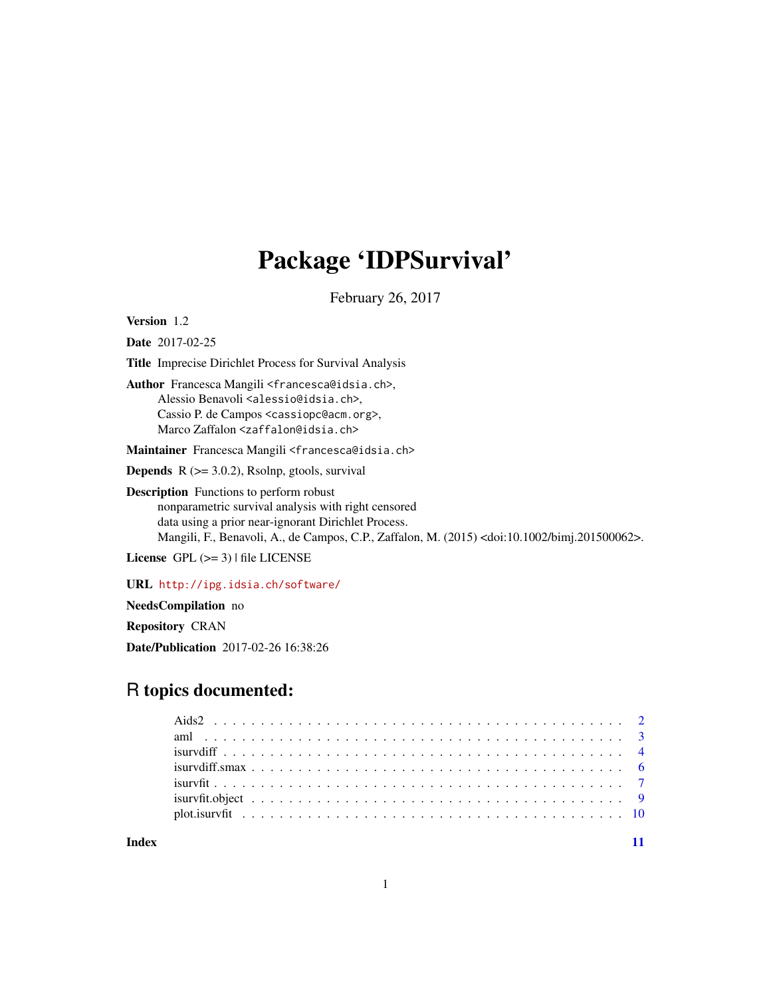# Package 'IDPSurvival'

February 26, 2017

<span id="page-0-0"></span>Version 1.2

Date 2017-02-25

Title Imprecise Dirichlet Process for Survival Analysis

Author Francesca Mangili <francesca@idsia.ch>, Alessio Benavoli <alessio@idsia.ch>, Cassio P. de Campos <cassiopc@acm.org>, Marco Zaffalon <zaffalon@idsia.ch>

Maintainer Francesca Mangili <francesca@idsia.ch>

**Depends**  $R$  ( $>= 3.0.2$ ), Rsolnp, gtools, survival

Description Functions to perform robust nonparametric survival analysis with right censored data using a prior near-ignorant Dirichlet Process. Mangili, F., Benavoli, A., de Campos, C.P., Zaffalon, M. (2015) <doi:10.1002/bimj.201500062>.

License GPL  $(>= 3)$  | file LICENSE

URL <http://ipg.idsia.ch/software/>

NeedsCompilation no

Repository CRAN

Date/Publication 2017-02-26 16:38:26

# R topics documented:

| $isurvdiff. smax \dots \dots \dots \dots \dots \dots \dots \dots \dots \dots \dots \dots \dots \dots \dots \dots \dots \dots$ |  |
|-------------------------------------------------------------------------------------------------------------------------------|--|
|                                                                                                                               |  |
|                                                                                                                               |  |
|                                                                                                                               |  |
|                                                                                                                               |  |

**Index** [11](#page-10-0)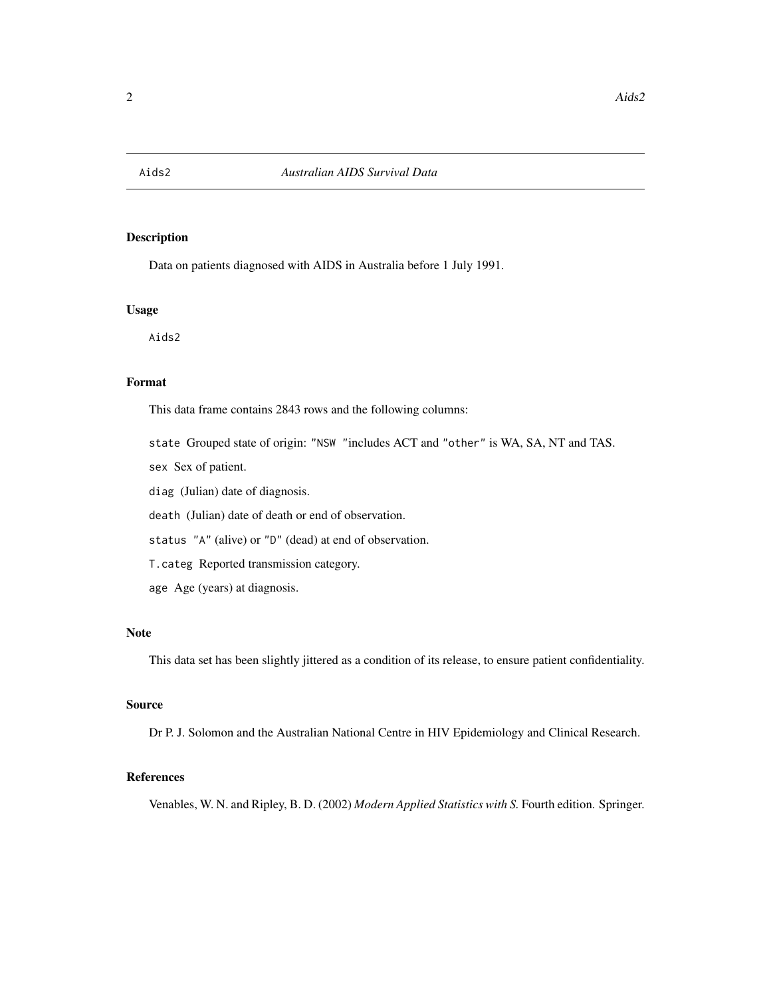<span id="page-1-0"></span>

## Description

Data on patients diagnosed with AIDS in Australia before 1 July 1991.

### Usage

Aids2

# Format

This data frame contains 2843 rows and the following columns:

state Grouped state of origin: "NSW "includes ACT and "other" is WA, SA, NT and TAS.

sex Sex of patient.

diag (Julian) date of diagnosis.

death (Julian) date of death or end of observation.

status "A" (alive) or "D" (dead) at end of observation.

T.categ Reported transmission category.

age Age (years) at diagnosis.

# Note

This data set has been slightly jittered as a condition of its release, to ensure patient confidentiality.

#### Source

Dr P. J. Solomon and the Australian National Centre in HIV Epidemiology and Clinical Research.

# References

Venables, W. N. and Ripley, B. D. (2002) *Modern Applied Statistics with S.* Fourth edition. Springer.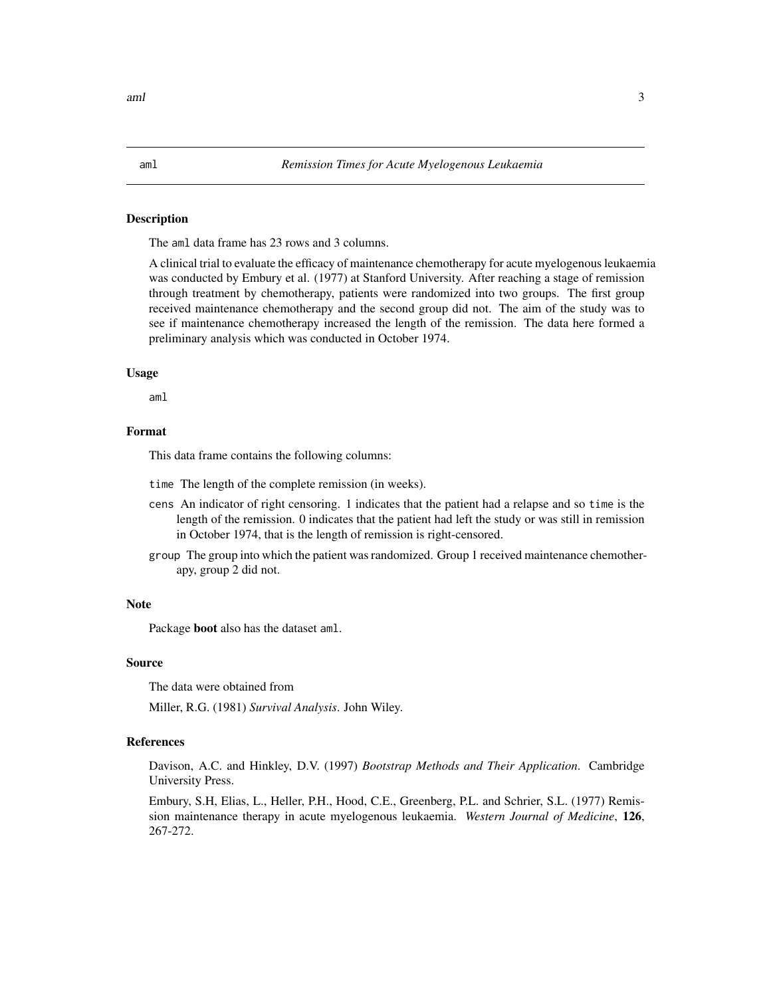#### <span id="page-2-0"></span>Description

The aml data frame has 23 rows and 3 columns.

A clinical trial to evaluate the efficacy of maintenance chemotherapy for acute myelogenous leukaemia was conducted by Embury et al. (1977) at Stanford University. After reaching a stage of remission through treatment by chemotherapy, patients were randomized into two groups. The first group received maintenance chemotherapy and the second group did not. The aim of the study was to see if maintenance chemotherapy increased the length of the remission. The data here formed a preliminary analysis which was conducted in October 1974.

#### Usage

aml

#### Format

This data frame contains the following columns:

time The length of the complete remission (in weeks).

- cens An indicator of right censoring. 1 indicates that the patient had a relapse and so time is the length of the remission. 0 indicates that the patient had left the study or was still in remission in October 1974, that is the length of remission is right-censored.
- group The group into which the patient was randomized. Group 1 received maintenance chemotherapy, group 2 did not.

#### Note

Package boot also has the dataset aml.

#### Source

The data were obtained from

Miller, R.G. (1981) *Survival Analysis*. John Wiley.

# References

Davison, A.C. and Hinkley, D.V. (1997) *Bootstrap Methods and Their Application*. Cambridge University Press.

Embury, S.H, Elias, L., Heller, P.H., Hood, C.E., Greenberg, P.L. and Schrier, S.L. (1977) Remission maintenance therapy in acute myelogenous leukaemia. *Western Journal of Medicine*, 126, 267-272.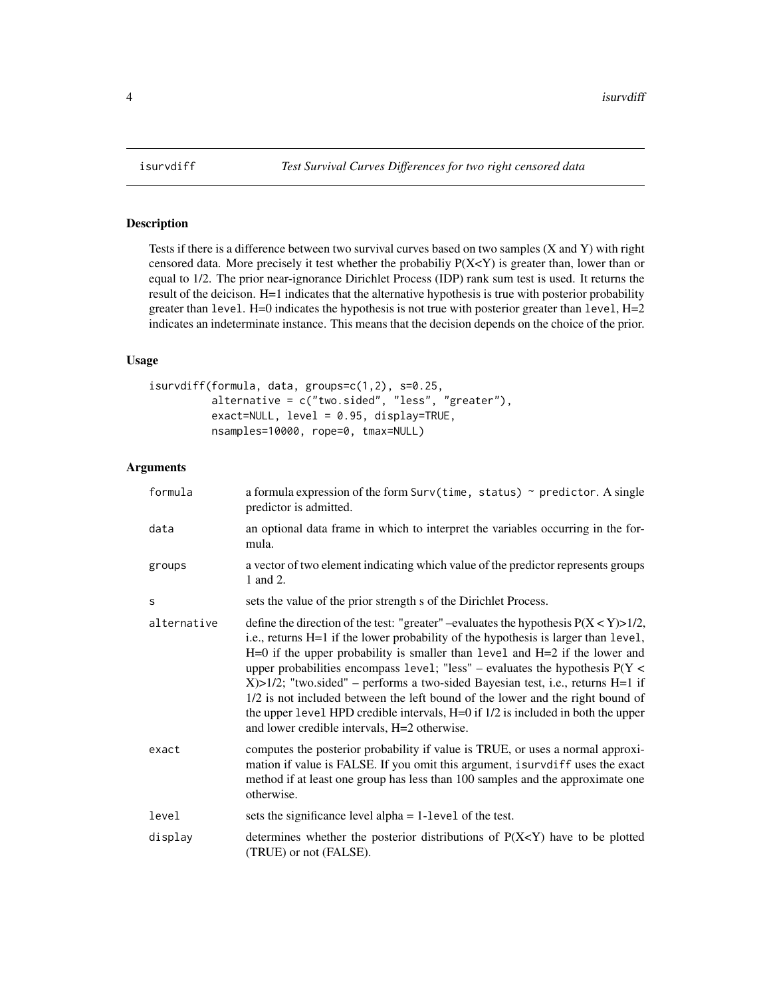<span id="page-3-1"></span><span id="page-3-0"></span>

# Description

Tests if there is a difference between two survival curves based on two samples (X and Y) with right censored data. More precisely it test whether the probabiliy P(X<Y) is greater than, lower than or equal to 1/2. The prior near-ignorance Dirichlet Process (IDP) rank sum test is used. It returns the result of the deicison. H=1 indicates that the alternative hypothesis is true with posterior probability greater than level.  $H=0$  indicates the hypothesis is not true with posterior greater than level,  $H=2$ indicates an indeterminate instance. This means that the decision depends on the choice of the prior.

# Usage

```
isurvdiff(formula, data, groups=c(1,2), s=0.25,
          alternative = c("two.sided", "less", "greater"),
          exact=NULL, level = 0.95, display=TRUE,
          nsamples=10000, rope=0, tmax=NULL)
```
#### Arguments

| formula     | a formula expression of the form $\text{Surv}(\text{time}, \text{status})$ $\sim$ predictor. A single<br>predictor is admitted.                                                                                                                                                                                                                                                                                                                                                                                                                                                                                                                                    |
|-------------|--------------------------------------------------------------------------------------------------------------------------------------------------------------------------------------------------------------------------------------------------------------------------------------------------------------------------------------------------------------------------------------------------------------------------------------------------------------------------------------------------------------------------------------------------------------------------------------------------------------------------------------------------------------------|
| data        | an optional data frame in which to interpret the variables occurring in the for-<br>mula.                                                                                                                                                                                                                                                                                                                                                                                                                                                                                                                                                                          |
| groups      | a vector of two element indicating which value of the predictor represents groups<br>1 and 2.                                                                                                                                                                                                                                                                                                                                                                                                                                                                                                                                                                      |
| S           | sets the value of the prior strength s of the Dirichlet Process.                                                                                                                                                                                                                                                                                                                                                                                                                                                                                                                                                                                                   |
| alternative | define the direction of the test: "greater" –evaluates the hypothesis $P(X < Y) > 1/2$ ,<br>i.e., returns H=1 if the lower probability of the hypothesis is larger than level,<br>$H=0$ if the upper probability is smaller than level and $H=2$ if the lower and<br>upper probabilities encompass level; "less" – evaluates the hypothesis $P(Y \leq$<br>$X > 1/2$ ; "two.sided" – performs a two-sided Bayesian test, i.e., returns H=1 if<br>1/2 is not included between the left bound of the lower and the right bound of<br>the upper level HPD credible intervals, H=0 if 1/2 is included in both the upper<br>and lower credible intervals, H=2 otherwise. |
| exact       | computes the posterior probability if value is TRUE, or uses a normal approxi-<br>mation if value is FALSE. If you omit this argument, isurvdiff uses the exact<br>method if at least one group has less than 100 samples and the approximate one<br>otherwise.                                                                                                                                                                                                                                                                                                                                                                                                    |
| level       | sets the significance level alpha $= 1$ -level of the test.                                                                                                                                                                                                                                                                                                                                                                                                                                                                                                                                                                                                        |
| display     | determines whether the posterior distributions of $P(X < Y)$ have to be plotted<br>(TRUE) or not (FALSE).                                                                                                                                                                                                                                                                                                                                                                                                                                                                                                                                                          |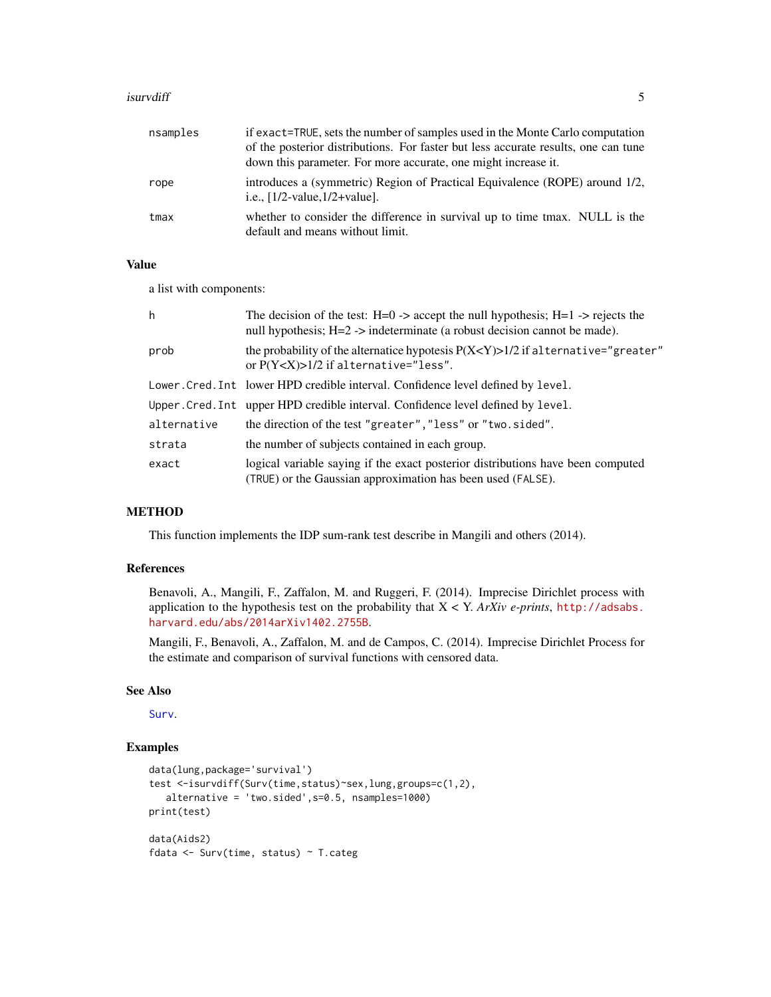#### <span id="page-4-0"></span>**isurvdiff** 5

| nsamples | if exact=TRUE, sets the number of samples used in the Monte Carlo computation<br>of the posterior distributions. For faster but less accurate results, one can tune<br>down this parameter. For more accurate, one might increase it. |
|----------|---------------------------------------------------------------------------------------------------------------------------------------------------------------------------------------------------------------------------------------|
| rope     | introduces a (symmetric) Region of Practical Equivalence (ROPE) around 1/2,<br>i.e., $[1/2$ -value, $1/2$ +value].                                                                                                                    |
| tmax     | whether to consider the difference in survival up to time tmax. NULL is the<br>default and means without limit.                                                                                                                       |

#### Value

a list with components:

| h           | The decision of the test: $H=0 \rightarrow$ accept the null hypothesis; $H=1 \rightarrow$ rejects the<br>null hypothesis; H=2 -> indeterminate (a robust decision cannot be made). |
|-------------|------------------------------------------------------------------------------------------------------------------------------------------------------------------------------------|
| prob        | the probability of the alternatice hypotesis $P(X\le Y) > 1/2$ if alternative="greater"<br>or $P(Y < X) > 1/2$ if alternative="less".                                              |
|             | Lower. Cred. Int lower HPD credible interval. Confidence level defined by level.                                                                                                   |
|             | Upper. Cred. Int upper HPD credible interval. Confidence level defined by level.                                                                                                   |
| alternative | the direction of the test "greater", "less" or "two.sided".                                                                                                                        |
| strata      | the number of subjects contained in each group.                                                                                                                                    |
| exact       | logical variable saying if the exact posterior distributions have been computed<br>(TRUE) or the Gaussian approximation has been used (FALSE).                                     |

# METHOD

This function implements the IDP sum-rank test describe in Mangili and others (2014).

# References

Benavoli, A., Mangili, F., Zaffalon, M. and Ruggeri, F. (2014). Imprecise Dirichlet process with application to the hypothesis test on the probability that X < Y. *ArXiv e-prints*, [http://adsabs.](http://adsabs.harvard.edu/abs/2014arXiv1402.2755B) [harvard.edu/abs/2014arXiv1402.2755B](http://adsabs.harvard.edu/abs/2014arXiv1402.2755B).

Mangili, F., Benavoli, A., Zaffalon, M. and de Campos, C. (2014). Imprecise Dirichlet Process for the estimate and comparison of survival functions with censored data.

#### See Also

[Surv](#page-0-0).

# Examples

```
data(lung,package='survival')
test <-isurvdiff(Surv(time,status)~sex,lung,groups=c(1,2),
   alternative = 'two.sided',s=0.5, nsamples=1000)
print(test)
data(Aids2)
fdata <- Surv(time, status) ~ T.categ
```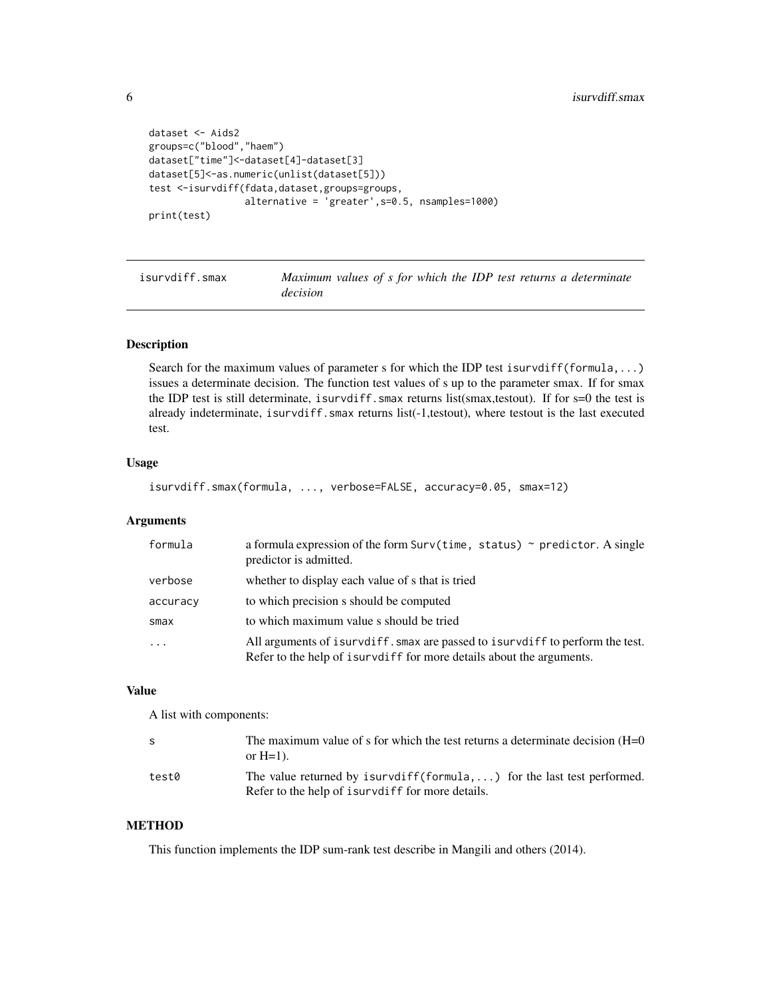```
dataset <- Aids2
groups=c("blood","haem")
dataset["time"]<-dataset[4]-dataset[3]
dataset[5]<-as.numeric(unlist(dataset[5]))
test <-isurvdiff(fdata,dataset,groups=groups,
                 alternative = 'greater',s=0.5, nsamples=1000)
print(test)
```
isurvdiff.smax *Maximum values of s for which the IDP test returns a determinate decision*

#### Description

Search for the maximum values of parameter s for which the IDP test isurvdiff(formula,...) issues a determinate decision. The function test values of s up to the parameter smax. If for smax the IDP test is still determinate, isurvdiff.smax returns list(smax,testout). If for  $s=0$  the test is already indeterminate, isurvdiff.smax returns list(-1,testout), where testout is the last executed test.

# Usage

```
isurvdiff.smax(formula, ..., verbose=FALSE, accuracy=0.05, smax=12)
```
#### Arguments

| formula  | a formula expression of the form $Surv(time, status) \sim predictor. A single$<br>predictor is admitted.                                                |
|----------|---------------------------------------------------------------------------------------------------------------------------------------------------------|
| verbose  | whether to display each value of s that is tried                                                                                                        |
| accuracy | to which precision s should be computed                                                                                                                 |
| smax     | to which maximum value s should be tried                                                                                                                |
| $\ddots$ | All arguments of isurvdiff. smax are passed to isurvdiff to perform the test.<br>Refer to the help of is urvel if for more details about the arguments. |

#### Value

A list with components:

| S     | The maximum value of s for which the test returns a determinate decision $(H=0)$<br>or $H=1$ ).                                    |
|-------|------------------------------------------------------------------------------------------------------------------------------------|
| test0 | The value returned by isurvdiff(formula, ) for the last test performed.<br>Refer to the help of is unvelociately for more details. |

# **METHOD**

This function implements the IDP sum-rank test describe in Mangili and others (2014).

<span id="page-5-0"></span>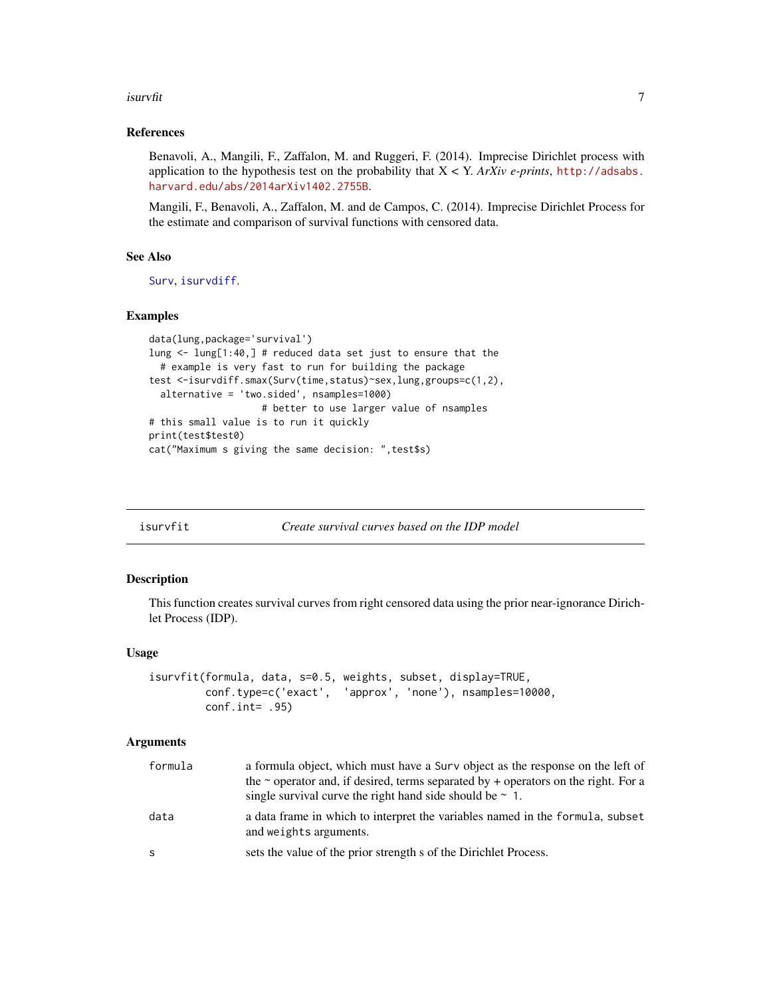#### <span id="page-6-0"></span>isurvfit **7**

#### References

Benavoli, A., Mangili, F., Zaffalon, M. and Ruggeri, F. (2014). Imprecise Dirichlet process with application to the hypothesis test on the probability that  $X < Y$ . *ArXiv e-prints*, [http://adsabs.](http://adsabs.harvard.edu/abs/2014arXiv1402.2755B) [harvard.edu/abs/2014arXiv1402.2755B](http://adsabs.harvard.edu/abs/2014arXiv1402.2755B).

Mangili, F., Benavoli, A., Zaffalon, M. and de Campos, C. (2014). Imprecise Dirichlet Process for the estimate and comparison of survival functions with censored data.

## See Also

[Surv](#page-0-0), [isurvdiff](#page-3-1).

#### Examples

```
data(lung,package='survival')
lung <- lung[1:40,] # reduced data set just to ensure that the
  # example is very fast to run for building the package
test <-isurvdiff.smax(Surv(time,status)~sex,lung,groups=c(1,2),
  alternative = 'two.sided', nsamples=1000)
                    # better to use larger value of nsamples
# this small value is to run it quickly
print(test$test0)
cat("Maximum s giving the same decision: ",test$s)
```
<span id="page-6-1"></span>

| isurvfit |  | Create survival curves based on the IDP model |
|----------|--|-----------------------------------------------|
|----------|--|-----------------------------------------------|

#### Description

This function creates survival curves from right censored data using the prior near-ignorance Dirichlet Process (IDP).

#### Usage

```
isurvfit(formula, data, s=0.5, weights, subset, display=TRUE,
        conf.type=c('exact', 'approx', 'none'), nsamples=10000,
        conf.int= .95)
```
#### Arguments

| formula | a formula object, which must have a Surv object as the response on the left of<br>the $\sim$ operator and, if desired, terms separated by + operators on the right. For a<br>single survival curve the right hand side should be $\sim 1$ . |
|---------|---------------------------------------------------------------------------------------------------------------------------------------------------------------------------------------------------------------------------------------------|
| data    | a data frame in which to interpret the variables named in the formula, subset<br>and weights arguments.                                                                                                                                     |
| S.      | sets the value of the prior strength s of the Dirichlet Process.                                                                                                                                                                            |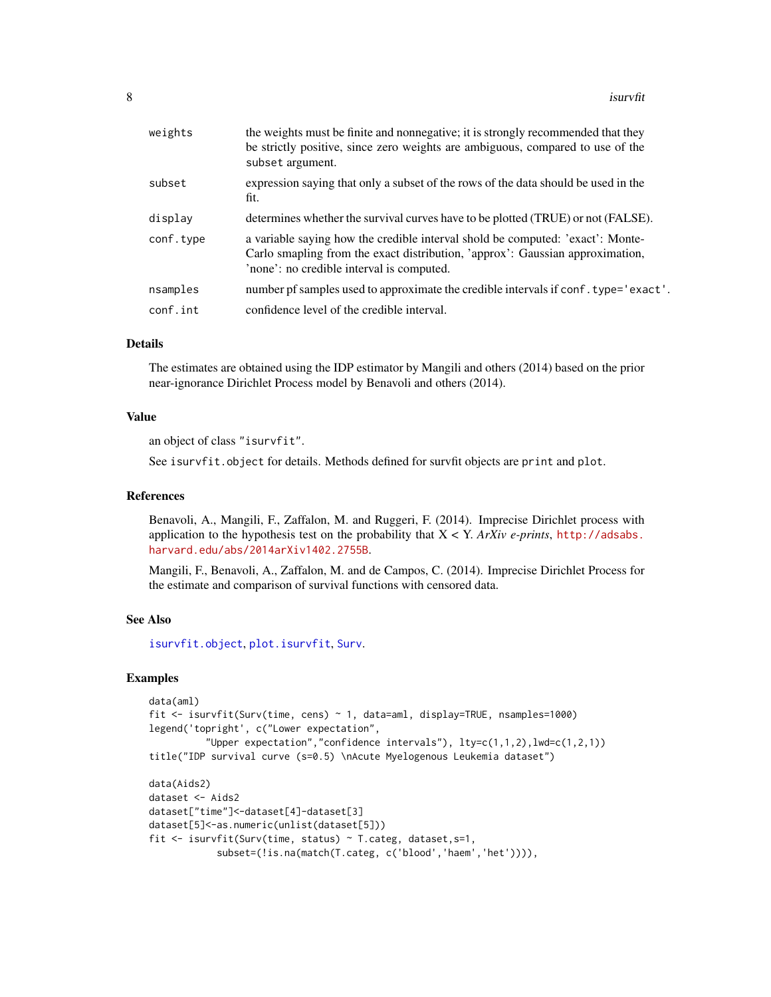<span id="page-7-0"></span>

| weights   | the weights must be finite and nonnegative; it is strongly recommended that they<br>be strictly positive, since zero weights are ambiguous, compared to use of the<br>subset argument.                       |
|-----------|--------------------------------------------------------------------------------------------------------------------------------------------------------------------------------------------------------------|
| subset    | expression saying that only a subset of the rows of the data should be used in the<br>fit.                                                                                                                   |
| display   | determines whether the survival curves have to be plotted (TRUE) or not (FALSE).                                                                                                                             |
| conf.type | a variable saying how the credible interval shold be computed: 'exact': Monte-<br>Carlo smapling from the exact distribution, 'approx': Gaussian approximation,<br>'none': no credible interval is computed. |
| nsamples  | number pf samples used to approximate the credible intervals if conf. type='exact'.                                                                                                                          |
| conf.int  | confidence level of the credible interval.                                                                                                                                                                   |
|           |                                                                                                                                                                                                              |

#### Details

The estimates are obtained using the IDP estimator by Mangili and others (2014) based on the prior near-ignorance Dirichlet Process model by Benavoli and others (2014).

# Value

an object of class "isurvfit".

See isurvfit.object for details. Methods defined for survfit objects are print and plot.

#### References

Benavoli, A., Mangili, F., Zaffalon, M. and Ruggeri, F. (2014). Imprecise Dirichlet process with application to the hypothesis test on the probability that  $X < Y$ . *ArXiv e-prints*, [http://adsabs.](http://adsabs.harvard.edu/abs/2014arXiv1402.2755B) [harvard.edu/abs/2014arXiv1402.2755B](http://adsabs.harvard.edu/abs/2014arXiv1402.2755B).

Mangili, F., Benavoli, A., Zaffalon, M. and de Campos, C. (2014). Imprecise Dirichlet Process for the estimate and comparison of survival functions with censored data.

# See Also

[isurvfit.object](#page-8-1), [plot.isurvfit](#page-9-1), [Surv](#page-0-0).

#### Examples

```
data(aml)
fit <- isurvfit(Surv(time, cens) ~ 1, data=aml, display=TRUE, nsamples=1000)
legend('topright', c("Lower expectation",
          "Upper expectation", "confidence intervals"), lty=c(1,1,2), lwd=c(1,2,1))
title("IDP survival curve (s=0.5) \nAcute Myelogenous Leukemia dataset")
data(Aids2)
dataset <- Aids2
dataset["time"]<-dataset[4]-dataset[3]
dataset[5]<-as.numeric(unlist(dataset[5]))
fit <- isurvfit(Surv(time, status) ~ T.categ, dataset,s=1,
            subset=(!is.na(match(T.categ, c('blood','haem','het')))),
```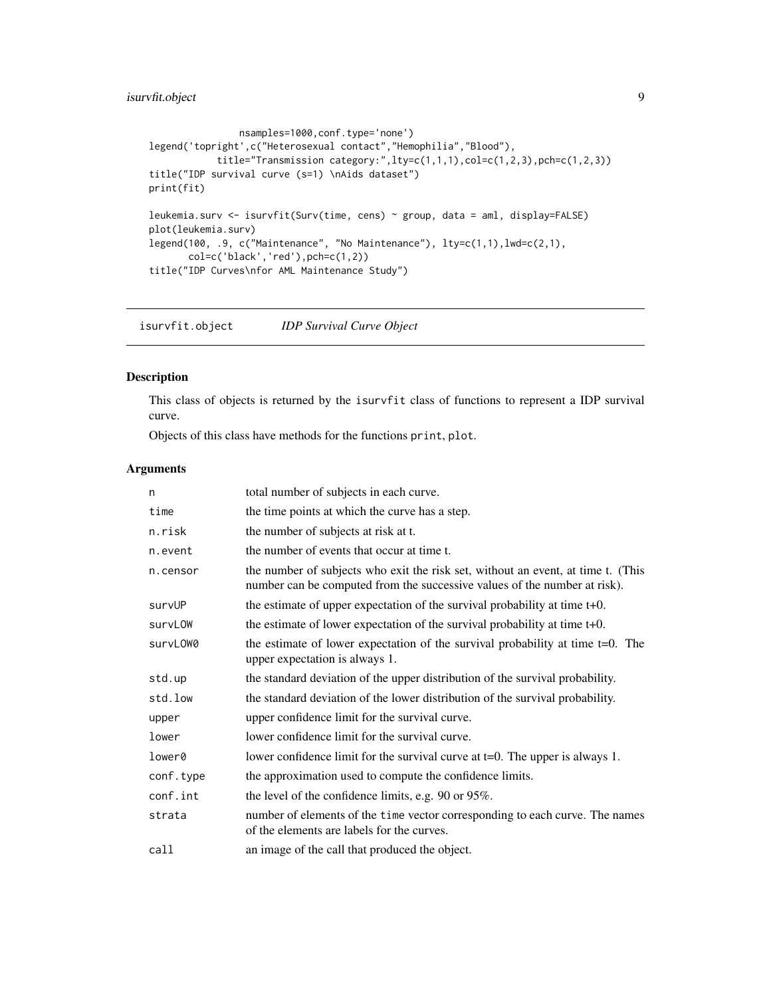# <span id="page-8-0"></span>isurvfit.object 9

```
nsamples=1000,conf.type='none')
legend('topright',c("Heterosexual contact","Hemophilia","Blood"),
            title="Transmission category:",lty=c(1,1,1),col=c(1,2,3),pch=c(1,2,3))
title("IDP survival curve (s=1) \nAids dataset")
print(fit)
leukemia.surv <- isurvfit(Surv(time, cens) ~ group, data = aml, display=FALSE)
plot(leukemia.surv)
legend(100, .9, c("Maintenance", "No Maintenance"), lty=c(1,1),lwd=c(2,1),
       col=c('black','red'),pch=c(1,2))
title("IDP Curves\nfor AML Maintenance Study")
```
<span id="page-8-1"></span>isurvfit.object *IDP Survival Curve Object*

# Description

This class of objects is returned by the isurvfit class of functions to represent a IDP survival curve.

Objects of this class have methods for the functions print, plot.

#### Arguments

| n         | total number of subjects in each curve.                                                                                                                       |
|-----------|---------------------------------------------------------------------------------------------------------------------------------------------------------------|
| time      | the time points at which the curve has a step.                                                                                                                |
| n.risk    | the number of subjects at risk at t.                                                                                                                          |
| n.event   | the number of events that occur at time t.                                                                                                                    |
| n.censor  | the number of subjects who exit the risk set, without an event, at time t. (This<br>number can be computed from the successive values of the number at risk). |
| survUP    | the estimate of upper expectation of the survival probability at time $t+0$ .                                                                                 |
| survLOW   | the estimate of lower expectation of the survival probability at time $t+0$ .                                                                                 |
| survLOW0  | the estimate of lower expectation of the survival probability at time $t=0$ . The<br>upper expectation is always 1.                                           |
| std.up    | the standard deviation of the upper distribution of the survival probability.                                                                                 |
| std.low   | the standard deviation of the lower distribution of the survival probability.                                                                                 |
| upper     | upper confidence limit for the survival curve.                                                                                                                |
| lower     | lower confidence limit for the survival curve.                                                                                                                |
| lower0    | lower confidence limit for the survival curve at $t=0$ . The upper is always 1.                                                                               |
| conf.type | the approximation used to compute the confidence limits.                                                                                                      |
| conf.int  | the level of the confidence limits, e.g. 90 or 95%.                                                                                                           |
| strata    | number of elements of the time vector corresponding to each curve. The names<br>of the elements are labels for the curves.                                    |
| call      | an image of the call that produced the object.                                                                                                                |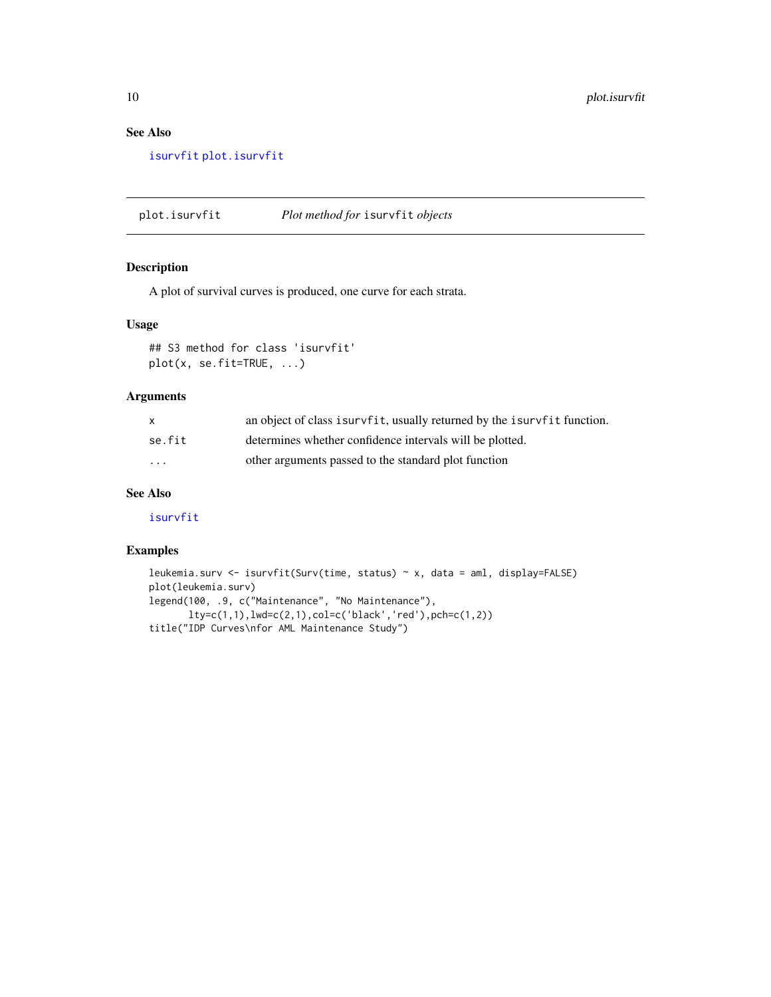# See Also

[isurvfit](#page-6-1) [plot.isurvfit](#page-9-1)

<span id="page-9-1"></span>plot.isurvfit *Plot method for* isurvfit *objects*

# Description

A plot of survival curves is produced, one curve for each strata.

#### Usage

## S3 method for class 'isurvfit' plot(x, se.fit=TRUE, ...)

### Arguments

|          | an object of class is urvfit, usually returned by the is urvfit function. |
|----------|---------------------------------------------------------------------------|
| se.fit   | determines whether confidence intervals will be plotted.                  |
| $\cdots$ | other arguments passed to the standard plot function                      |

# See Also

[isurvfit](#page-6-1)

# Examples

```
leukemia.surv <- isurvfit(Surv(time, status) ~ x, data = aml, display=FALSE)
plot(leukemia.surv)
legend(100, .9, c("Maintenance", "No Maintenance"),
       lty=c(1,1),lwd=c(2,1),col=c('black','red'),pch=c(1,2))
title("IDP Curves\nfor AML Maintenance Study")
```
<span id="page-9-0"></span>